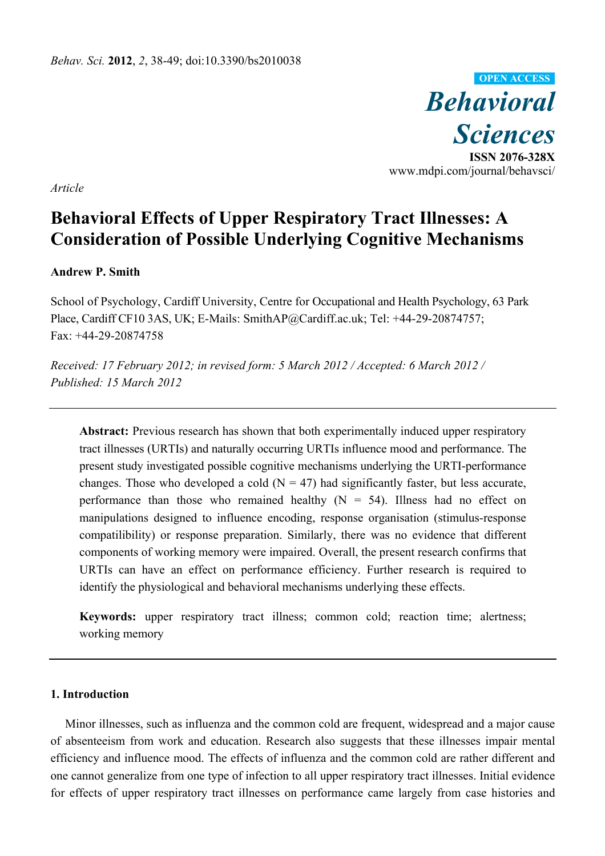

*Article* 

# **Behavioral Effects of Upper Respiratory Tract Illnesses: A Consideration of Possible Underlying Cognitive Mechanisms**

# **Andrew P. Smith**

School of Psychology, Cardiff University, Centre for Occupational and Health Psychology, 63 Park Place, Cardiff CF10 3AS, UK; E-Mails: SmithAP@Cardiff.ac.uk; Tel: +44-29-20874757; Fax: +44-29-20874758

*Received: 17 February 2012; in revised form: 5 March 2012 / Accepted: 6 March 2012 / Published: 15 March 2012* 

Abstract: Previous research has shown that both experimentally induced upper respiratory tract illnesses (URTIs) and naturally occurring URTIs influence mood and performance. The present study investigated possible cognitive mechanisms underlying the URTI-performance changes. Those who developed a cold  $(N = 47)$  had significantly faster, but less accurate, performance than those who remained healthy  $(N = 54)$ . Illness had no effect on manipulations designed to influence encoding, response organisation (stimulus-response compatilibility) or response preparation. Similarly, there was no evidence that different components of working memory were impaired. Overall, the present research confirms that URTIs can have an effect on performance efficiency. Further research is required to identify the physiological and behavioral mechanisms underlying these effects.

**Keywords:** upper respiratory tract illness; common cold; reaction time; alertness; working memory

# **1. Introduction**

Minor illnesses, such as influenza and the common cold are frequent, widespread and a major cause of absenteeism from work and education. Research also suggests that these illnesses impair mental efficiency and influence mood. The effects of influenza and the common cold are rather different and one cannot generalize from one type of infection to all upper respiratory tract illnesses. Initial evidence for effects of upper respiratory tract illnesses on performance came largely from case histories and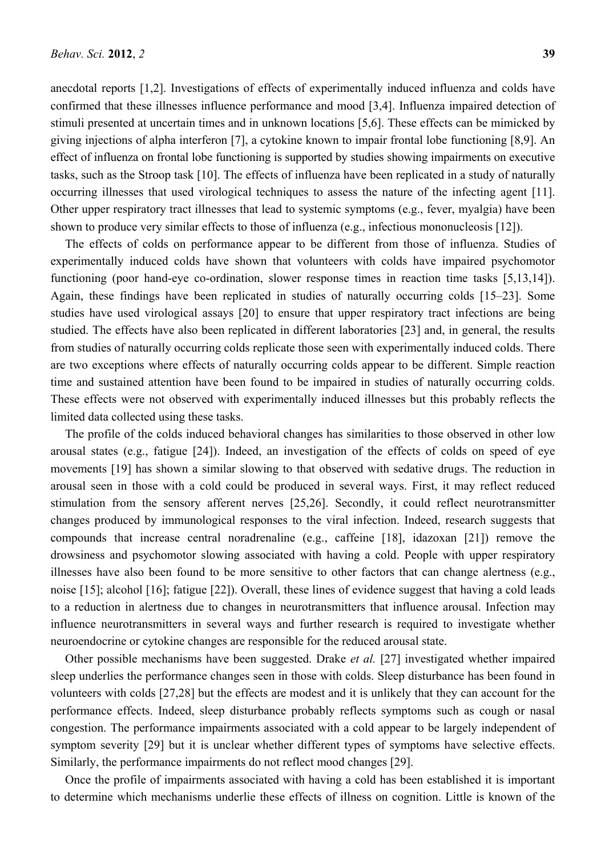anecdotal reports [1,2]. Investigations of effects of experimentally induced influenza and colds have confirmed that these illnesses influence performance and mood [3,4]. Influenza impaired detection of stimuli presented at uncertain times and in unknown locations [5,6]. These effects can be mimicked by giving injections of alpha interferon [7], a cytokine known to impair frontal lobe functioning [8,9]. An effect of influenza on frontal lobe functioning is supported by studies showing impairments on executive tasks, such as the Stroop task [10]. The effects of influenza have been replicated in a study of naturally occurring illnesses that used virological techniques to assess the nature of the infecting agent [11]. Other upper respiratory tract illnesses that lead to systemic symptoms (e.g., fever, myalgia) have been shown to produce very similar effects to those of influenza (e.g., infectious mononucleosis [12]).

The effects of colds on performance appear to be different from those of influenza. Studies of experimentally induced colds have shown that volunteers with colds have impaired psychomotor functioning (poor hand-eye co-ordination, slower response times in reaction time tasks [5,13,14]). Again, these findings have been replicated in studies of naturally occurring colds [15–23]. Some studies have used virological assays [20] to ensure that upper respiratory tract infections are being studied. The effects have also been replicated in different laboratories [23] and, in general, the results from studies of naturally occurring colds replicate those seen with experimentally induced colds. There are two exceptions where effects of naturally occurring colds appear to be different. Simple reaction time and sustained attention have been found to be impaired in studies of naturally occurring colds. These effects were not observed with experimentally induced illnesses but this probably reflects the limited data collected using these tasks.

The profile of the colds induced behavioral changes has similarities to those observed in other low arousal states (e.g., fatigue [24]). Indeed, an investigation of the effects of colds on speed of eye movements [19] has shown a similar slowing to that observed with sedative drugs. The reduction in arousal seen in those with a cold could be produced in several ways. First, it may reflect reduced stimulation from the sensory afferent nerves [25,26]. Secondly, it could reflect neurotransmitter changes produced by immunological responses to the viral infection. Indeed, research suggests that compounds that increase central noradrenaline (e.g., caffeine [18], idazoxan [21]) remove the drowsiness and psychomotor slowing associated with having a cold. People with upper respiratory illnesses have also been found to be more sensitive to other factors that can change alertness (e.g., noise [15]; alcohol [16]; fatigue [22]). Overall, these lines of evidence suggest that having a cold leads to a reduction in alertness due to changes in neurotransmitters that influence arousal. Infection may influence neurotransmitters in several ways and further research is required to investigate whether neuroendocrine or cytokine changes are responsible for the reduced arousal state.

Other possible mechanisms have been suggested. Drake *et al.* [27] investigated whether impaired sleep underlies the performance changes seen in those with colds. Sleep disturbance has been found in volunteers with colds [27,28] but the effects are modest and it is unlikely that they can account for the performance effects. Indeed, sleep disturbance probably reflects symptoms such as cough or nasal congestion. The performance impairments associated with a cold appear to be largely independent of symptom severity [29] but it is unclear whether different types of symptoms have selective effects. Similarly, the performance impairments do not reflect mood changes [29].

Once the profile of impairments associated with having a cold has been established it is important to determine which mechanisms underlie these effects of illness on cognition. Little is known of the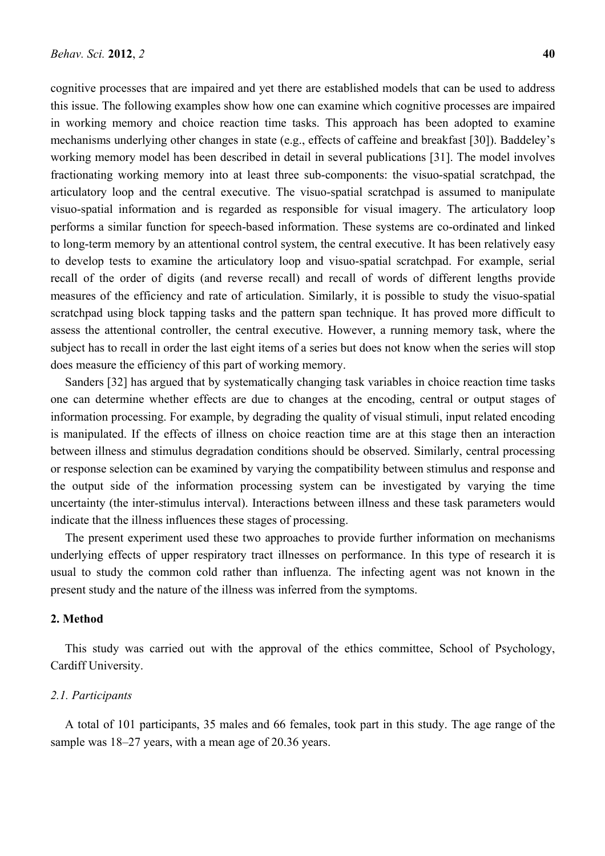cognitive processes that are impaired and yet there are established models that can be used to address this issue. The following examples show how one can examine which cognitive processes are impaired in working memory and choice reaction time tasks. This approach has been adopted to examine mechanisms underlying other changes in state (e.g., effects of caffeine and breakfast [30]). Baddeley's working memory model has been described in detail in several publications [31]. The model involves fractionating working memory into at least three sub-components: the visuo-spatial scratchpad, the articulatory loop and the central executive. The visuo-spatial scratchpad is assumed to manipulate visuo-spatial information and is regarded as responsible for visual imagery. The articulatory loop performs a similar function for speech-based information. These systems are co-ordinated and linked to long-term memory by an attentional control system, the central executive. It has been relatively easy to develop tests to examine the articulatory loop and visuo-spatial scratchpad. For example, serial recall of the order of digits (and reverse recall) and recall of words of different lengths provide measures of the efficiency and rate of articulation. Similarly, it is possible to study the visuo-spatial scratchpad using block tapping tasks and the pattern span technique. It has proved more difficult to assess the attentional controller, the central executive. However, a running memory task, where the subject has to recall in order the last eight items of a series but does not know when the series will stop does measure the efficiency of this part of working memory.

Sanders [32] has argued that by systematically changing task variables in choice reaction time tasks one can determine whether effects are due to changes at the encoding, central or output stages of information processing. For example, by degrading the quality of visual stimuli, input related encoding is manipulated. If the effects of illness on choice reaction time are at this stage then an interaction between illness and stimulus degradation conditions should be observed. Similarly, central processing or response selection can be examined by varying the compatibility between stimulus and response and the output side of the information processing system can be investigated by varying the time uncertainty (the inter-stimulus interval). Interactions between illness and these task parameters would indicate that the illness influences these stages of processing.

The present experiment used these two approaches to provide further information on mechanisms underlying effects of upper respiratory tract illnesses on performance. In this type of research it is usual to study the common cold rather than influenza. The infecting agent was not known in the present study and the nature of the illness was inferred from the symptoms.

# **2. Method**

This study was carried out with the approval of the ethics committee, School of Psychology, Cardiff University.

# *2.1. Participants*

A total of 101 participants, 35 males and 66 females, took part in this study. The age range of the sample was 18–27 years, with a mean age of 20.36 years.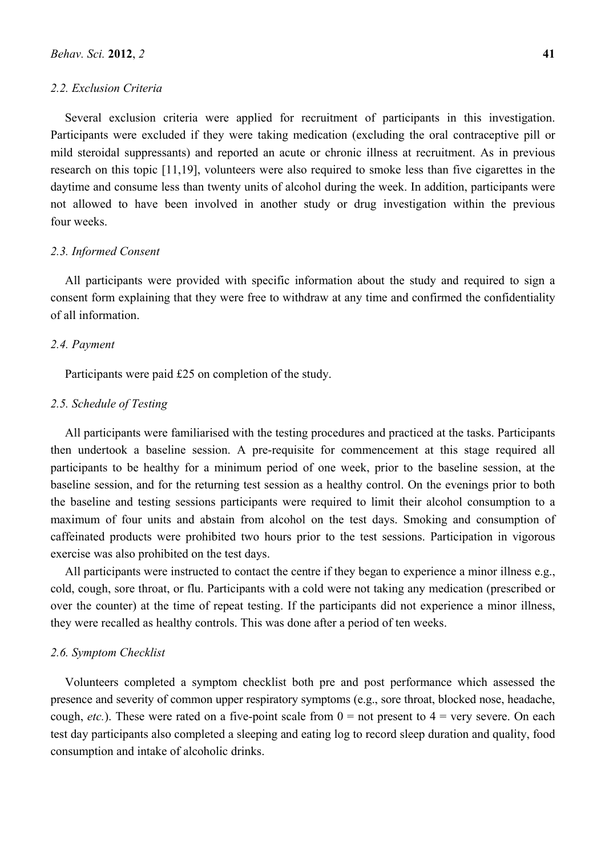## *2.2. Exclusion Criteria*

Several exclusion criteria were applied for recruitment of participants in this investigation. Participants were excluded if they were taking medication (excluding the oral contraceptive pill or mild steroidal suppressants) and reported an acute or chronic illness at recruitment. As in previous research on this topic [11,19], volunteers were also required to smoke less than five cigarettes in the daytime and consume less than twenty units of alcohol during the week. In addition, participants were not allowed to have been involved in another study or drug investigation within the previous four weeks.

#### *2.3. Informed Consent*

All participants were provided with specific information about the study and required to sign a consent form explaining that they were free to withdraw at any time and confirmed the confidentiality of all information.

# *2.4. Payment*

Participants were paid £25 on completion of the study.

## *2.5. Schedule of Testing*

All participants were familiarised with the testing procedures and practiced at the tasks. Participants then undertook a baseline session. A pre-requisite for commencement at this stage required all participants to be healthy for a minimum period of one week, prior to the baseline session, at the baseline session, and for the returning test session as a healthy control. On the evenings prior to both the baseline and testing sessions participants were required to limit their alcohol consumption to a maximum of four units and abstain from alcohol on the test days. Smoking and consumption of caffeinated products were prohibited two hours prior to the test sessions. Participation in vigorous exercise was also prohibited on the test days.

All participants were instructed to contact the centre if they began to experience a minor illness e.g., cold, cough, sore throat, or flu. Participants with a cold were not taking any medication (prescribed or over the counter) at the time of repeat testing. If the participants did not experience a minor illness, they were recalled as healthy controls. This was done after a period of ten weeks.

# *2.6. Symptom Checklist*

Volunteers completed a symptom checklist both pre and post performance which assessed the presence and severity of common upper respiratory symptoms (e.g., sore throat, blocked nose, headache, cough, *etc.*). These were rated on a five-point scale from  $0 =$  not present to  $4 =$  very severe. On each test day participants also completed a sleeping and eating log to record sleep duration and quality, food consumption and intake of alcoholic drinks.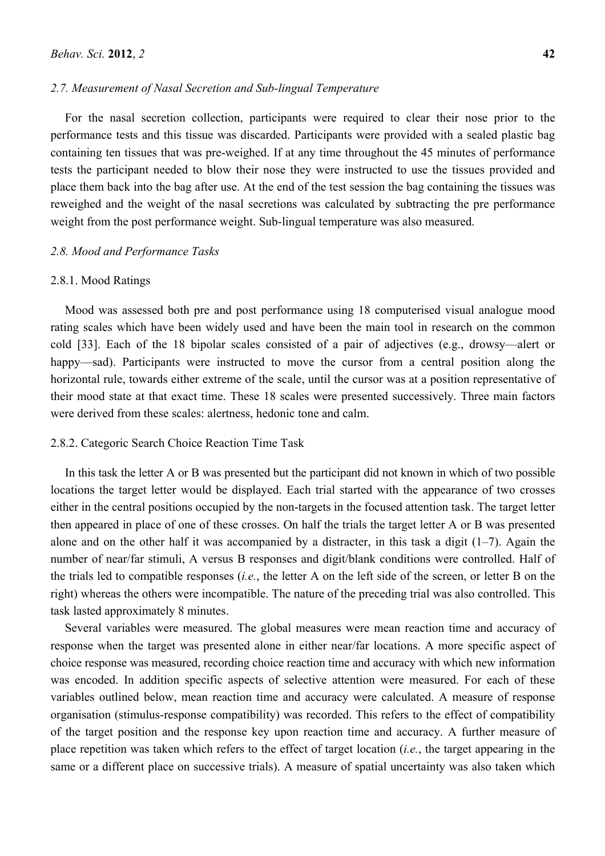## *2.7. Measurement of Nasal Secretion and Sub-lingual Temperature*

For the nasal secretion collection, participants were required to clear their nose prior to the performance tests and this tissue was discarded. Participants were provided with a sealed plastic bag containing ten tissues that was pre-weighed. If at any time throughout the 45 minutes of performance tests the participant needed to blow their nose they were instructed to use the tissues provided and place them back into the bag after use. At the end of the test session the bag containing the tissues was reweighed and the weight of the nasal secretions was calculated by subtracting the pre performance weight from the post performance weight. Sub-lingual temperature was also measured.

#### *2.8. Mood and Performance Tasks*

#### 2.8.1. Mood Ratings

Mood was assessed both pre and post performance using 18 computerised visual analogue mood rating scales which have been widely used and have been the main tool in research on the common cold [33]. Each of the 18 bipolar scales consisted of a pair of adjectives (e.g., drowsy—alert or happy—sad). Participants were instructed to move the cursor from a central position along the horizontal rule, towards either extreme of the scale, until the cursor was at a position representative of their mood state at that exact time. These 18 scales were presented successively. Three main factors were derived from these scales: alertness, hedonic tone and calm.

## 2.8.2. Categoric Search Choice Reaction Time Task

In this task the letter A or B was presented but the participant did not known in which of two possible locations the target letter would be displayed. Each trial started with the appearance of two crosses either in the central positions occupied by the non-targets in the focused attention task. The target letter then appeared in place of one of these crosses. On half the trials the target letter A or B was presented alone and on the other half it was accompanied by a distracter, in this task a digit  $(1-7)$ . Again the number of near/far stimuli, A versus B responses and digit/blank conditions were controlled. Half of the trials led to compatible responses (*i.e.*, the letter A on the left side of the screen, or letter B on the right) whereas the others were incompatible. The nature of the preceding trial was also controlled. This task lasted approximately 8 minutes.

Several variables were measured. The global measures were mean reaction time and accuracy of response when the target was presented alone in either near/far locations. A more specific aspect of choice response was measured, recording choice reaction time and accuracy with which new information was encoded. In addition specific aspects of selective attention were measured. For each of these variables outlined below, mean reaction time and accuracy were calculated. A measure of response organisation (stimulus-response compatibility) was recorded. This refers to the effect of compatibility of the target position and the response key upon reaction time and accuracy. A further measure of place repetition was taken which refers to the effect of target location (*i.e.*, the target appearing in the same or a different place on successive trials). A measure of spatial uncertainty was also taken which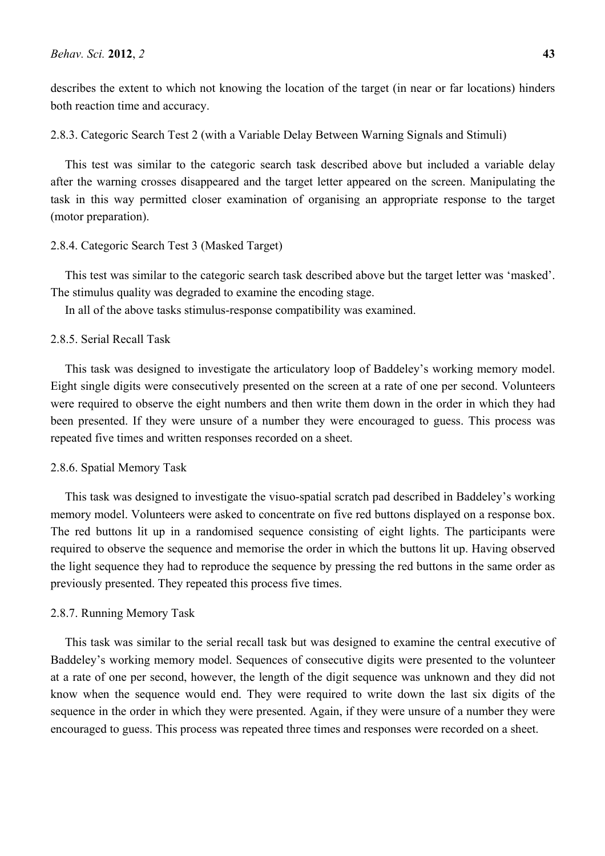describes the extent to which not knowing the location of the target (in near or far locations) hinders both reaction time and accuracy.

2.8.3. Categoric Search Test 2 (with a Variable Delay Between Warning Signals and Stimuli)

This test was similar to the categoric search task described above but included a variable delay after the warning crosses disappeared and the target letter appeared on the screen. Manipulating the task in this way permitted closer examination of organising an appropriate response to the target (motor preparation).

# 2.8.4. Categoric Search Test 3 (Masked Target)

This test was similar to the categoric search task described above but the target letter was 'masked'. The stimulus quality was degraded to examine the encoding stage.

In all of the above tasks stimulus-response compatibility was examined.

# 2.8.5. Serial Recall Task

This task was designed to investigate the articulatory loop of Baddeley's working memory model. Eight single digits were consecutively presented on the screen at a rate of one per second. Volunteers were required to observe the eight numbers and then write them down in the order in which they had been presented. If they were unsure of a number they were encouraged to guess. This process was repeated five times and written responses recorded on a sheet.

# 2.8.6. Spatial Memory Task

This task was designed to investigate the visuo-spatial scratch pad described in Baddeley's working memory model. Volunteers were asked to concentrate on five red buttons displayed on a response box. The red buttons lit up in a randomised sequence consisting of eight lights. The participants were required to observe the sequence and memorise the order in which the buttons lit up. Having observed the light sequence they had to reproduce the sequence by pressing the red buttons in the same order as previously presented. They repeated this process five times.

# 2.8.7. Running Memory Task

This task was similar to the serial recall task but was designed to examine the central executive of Baddeley's working memory model. Sequences of consecutive digits were presented to the volunteer at a rate of one per second, however, the length of the digit sequence was unknown and they did not know when the sequence would end. They were required to write down the last six digits of the sequence in the order in which they were presented. Again, if they were unsure of a number they were encouraged to guess. This process was repeated three times and responses were recorded on a sheet.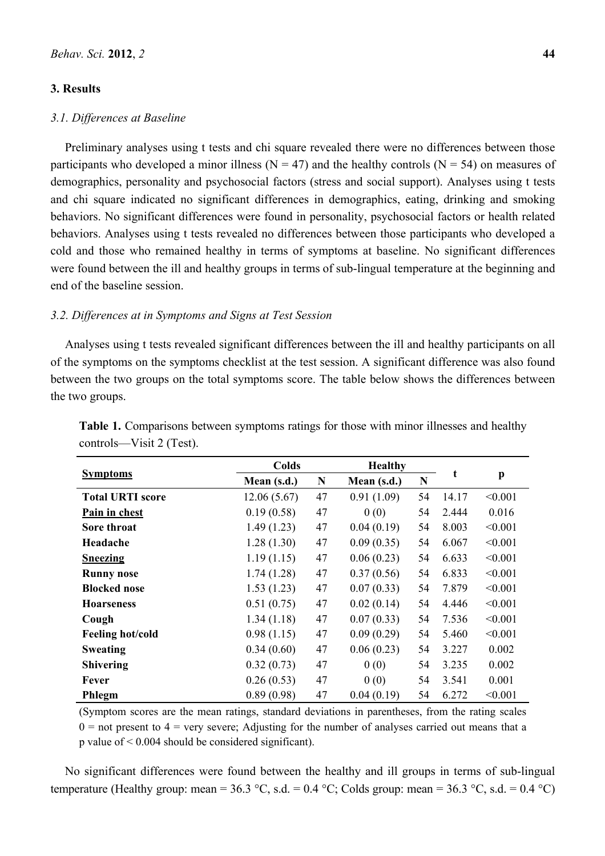# **3. Results**

## *3.1. Differences at Baseline*

Preliminary analyses using t tests and chi square revealed there were no differences between those participants who developed a minor illness ( $N = 47$ ) and the healthy controls ( $N = 54$ ) on measures of demographics, personality and psychosocial factors (stress and social support). Analyses using t tests and chi square indicated no significant differences in demographics, eating, drinking and smoking behaviors. No significant differences were found in personality, psychosocial factors or health related behaviors. Analyses using t tests revealed no differences between those participants who developed a cold and those who remained healthy in terms of symptoms at baseline. No significant differences were found between the ill and healthy groups in terms of sub-lingual temperature at the beginning and end of the baseline session.

## *3.2. Differences at in Symptoms and Signs at Test Session*

Analyses using t tests revealed significant differences between the ill and healthy participants on all of the symptoms on the symptoms checklist at the test session. A significant difference was also found between the two groups on the total symptoms score. The table below shows the differences between the two groups.

|                         | <b>Colds</b> |    | <b>Healthy</b> |    |       |         |
|-------------------------|--------------|----|----------------|----|-------|---------|
| <b>Symptoms</b>         | Mean (s.d.)  | N  | Mean (s.d.)    | N  | t     | p       |
| <b>Total URTI score</b> | 12.06(5.67)  | 47 | 0.91(1.09)     | 54 | 14.17 | < 0.001 |
| Pain in chest           | 0.19(0.58)   | 47 | 0(0)           | 54 | 2.444 | 0.016   |
| Sore throat             | 1.49(1.23)   | 47 | 0.04(0.19)     | 54 | 8.003 | < 0.001 |
| Headache                | 1.28(1.30)   | 47 | 0.09(0.35)     | 54 | 6.067 | < 0.001 |
| <b>Sneezing</b>         | 1.19(1.15)   | 47 | 0.06(0.23)     | 54 | 6.633 | < 0.001 |
| <b>Runny nose</b>       | 1.74(1.28)   | 47 | 0.37(0.56)     | 54 | 6.833 | < 0.001 |
| <b>Blocked nose</b>     | 1.53(1.23)   | 47 | 0.07(0.33)     | 54 | 7.879 | < 0.001 |
| <b>Hoarseness</b>       | 0.51(0.75)   | 47 | 0.02(0.14)     | 54 | 4.446 | < 0.001 |
| Cough                   | 1.34(1.18)   | 47 | 0.07(0.33)     | 54 | 7.536 | < 0.001 |
| <b>Feeling hot/cold</b> | 0.98(1.15)   | 47 | 0.09(0.29)     | 54 | 5.460 | < 0.001 |
| <b>Sweating</b>         | 0.34(0.60)   | 47 | 0.06(0.23)     | 54 | 3.227 | 0.002   |
| <b>Shivering</b>        | 0.32(0.73)   | 47 | 0(0)           | 54 | 3.235 | 0.002   |
| Fever                   | 0.26(0.53)   | 47 | 0(0)           | 54 | 3.541 | 0.001   |
| Phlegm                  | 0.89(0.98)   | 47 | 0.04(0.19)     | 54 | 6.272 | < 0.001 |

**Table 1.** Comparisons between symptoms ratings for those with minor illnesses and healthy controls—Visit 2 (Test).

(Symptom scores are the mean ratings, standard deviations in parentheses, from the rating scales  $0 =$  not present to  $4 =$  very severe; Adjusting for the number of analyses carried out means that a p value of  $\leq 0.004$  should be considered significant).

No significant differences were found between the healthy and ill groups in terms of sub-lingual temperature (Healthy group: mean = 36.3 °C, s.d. = 0.4 °C; Colds group: mean = 36.3 °C, s.d. = 0.4 °C)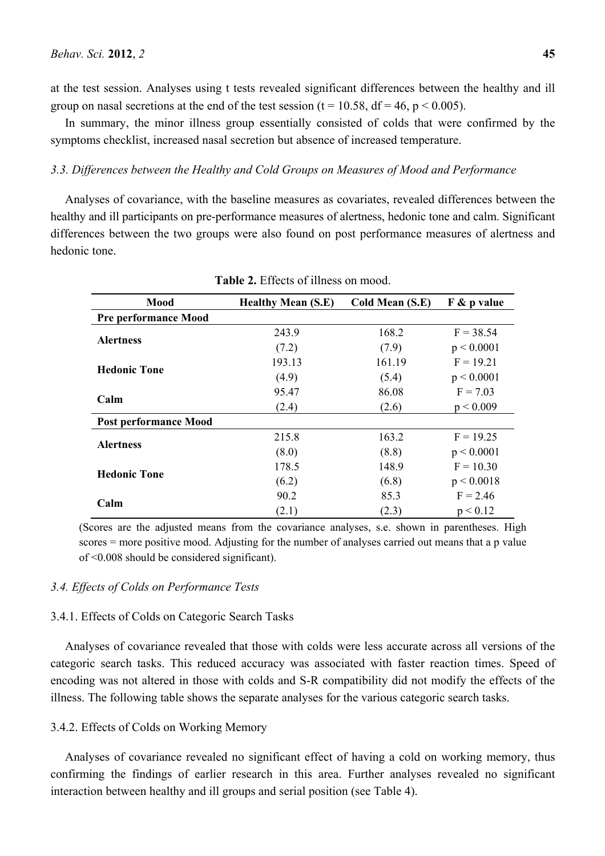at the test session. Analyses using t tests revealed significant differences between the healthy and ill group on nasal secretions at the end of the test session (t = 10.58,  $df = 46$ , p < 0.005).

In summary, the minor illness group essentially consisted of colds that were confirmed by the symptoms checklist, increased nasal secretion but absence of increased temperature.

# *3.3. Differences between the Healthy and Cold Groups on Measures of Mood and Performance*

Analyses of covariance, with the baseline measures as covariates, revealed differences between the healthy and ill participants on pre-performance measures of alertness, hedonic tone and calm. Significant differences between the two groups were also found on post performance measures of alertness and hedonic tone.

| Mood                         | <b>Healthy Mean (S.E)</b> | Cold Mean (S.E) | F & p value |  |
|------------------------------|---------------------------|-----------------|-------------|--|
| <b>Pre performance Mood</b>  |                           |                 |             |  |
|                              | 243.9                     | 168.2           | $F = 38.54$ |  |
| <b>Alertness</b>             | (7.2)                     | (7.9)           | p < 0.0001  |  |
| <b>Hedonic Tone</b>          | 193.13                    | 161.19          | $F = 19.21$ |  |
|                              | (4.9)                     | (5.4)           | p < 0.0001  |  |
|                              | 95.47                     | 86.08           | $F = 7.03$  |  |
| Calm                         | (2.4)                     | (2.6)           | p < 0.009   |  |
| <b>Post performance Mood</b> |                           |                 |             |  |
| <b>Alertness</b>             | 215.8                     | 163.2           | $F = 19.25$ |  |
|                              | (8.0)                     | (8.8)           | p < 0.0001  |  |
| <b>Hedonic Tone</b>          | 178.5                     | 148.9           | $F = 10.30$ |  |
|                              | (6.2)                     | (6.8)           | p < 0.0018  |  |
|                              | 90.2                      | 85.3            | $F = 2.46$  |  |
| Calm                         | (2.1)                     | (2.3)           | p < 0.12    |  |

**Table 2.** Effects of illness on mood.

(Scores are the adjusted means from the covariance analyses, s.e. shown in parentheses. High scores = more positive mood. Adjusting for the number of analyses carried out means that a p value of <0.008 should be considered significant).

# *3.4. Effects of Colds on Performance Tests*

# 3.4.1. Effects of Colds on Categoric Search Tasks

Analyses of covariance revealed that those with colds were less accurate across all versions of the categoric search tasks. This reduced accuracy was associated with faster reaction times. Speed of encoding was not altered in those with colds and S-R compatibility did not modify the effects of the illness. The following table shows the separate analyses for the various categoric search tasks.

## 3.4.2. Effects of Colds on Working Memory

Analyses of covariance revealed no significant effect of having a cold on working memory, thus confirming the findings of earlier research in this area. Further analyses revealed no significant interaction between healthy and ill groups and serial position (see Table 4).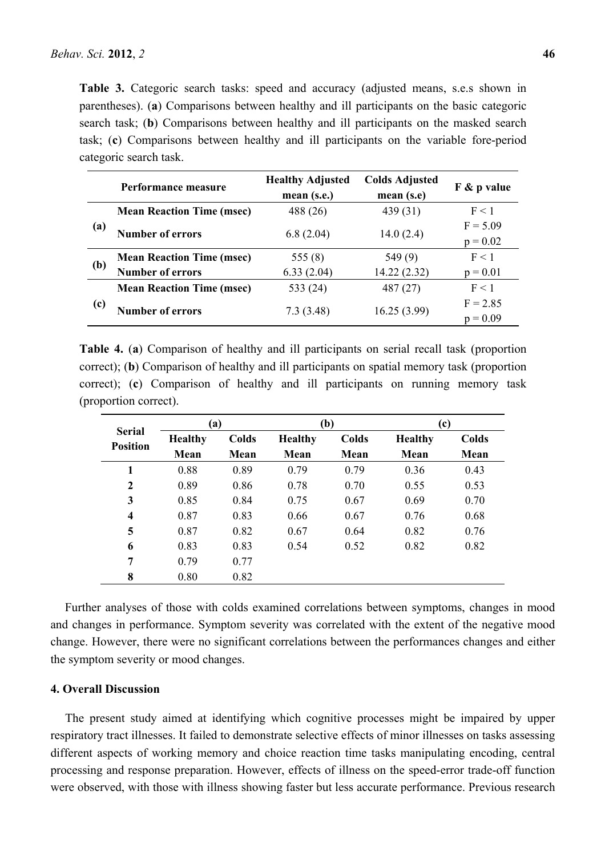**Table 3.** Categoric search tasks: speed and accuracy (adjusted means, s.e.s shown in parentheses). (**a**) Comparisons between healthy and ill participants on the basic categoric search task; (**b**) Comparisons between healthy and ill participants on the masked search task; (**c**) Comparisons between healthy and ill participants on the variable fore-period categoric search task.

|     | Performance measure              | <b>Healthy Adjusted</b><br>mean (s.e.) | <b>Colds Adjusted</b><br>mean (s.e) | $F$ & p value |
|-----|----------------------------------|----------------------------------------|-------------------------------------|---------------|
|     | <b>Mean Reaction Time (msec)</b> | 488 (26)                               | 439 (31)                            | F < 1         |
| (a) | <b>Number of errors</b>          | 6.8(2.04)                              | 14.0(2.4)                           | $F = 5.09$    |
|     |                                  |                                        |                                     | $p = 0.02$    |
| (b) | <b>Mean Reaction Time (msec)</b> | 555 $(8)$                              | 549 (9)                             | F < 1         |
|     | <b>Number of errors</b>          | 6.33(2.04)                             | 14.22 (2.32)                        | $p = 0.01$    |
| (c) | <b>Mean Reaction Time (msec)</b> | 533 (24)                               | 487 (27)                            | F < 1         |
|     | <b>Number of errors</b>          | 7.3(3.48)                              | 16.25(3.99)                         | $F = 2.85$    |
|     |                                  |                                        |                                     | $p = 0.09$    |

**Table 4.** (**a**) Comparison of healthy and ill participants on serial recall task (proportion correct); (**b**) Comparison of healthy and ill participants on spatial memory task (proportion correct); (**c**) Comparison of healthy and ill participants on running memory task (proportion correct).

| <b>Serial</b><br><b>Position</b> | (a)            |       | (b)            |       | (c)            |       |
|----------------------------------|----------------|-------|----------------|-------|----------------|-------|
|                                  | <b>Healthy</b> | Colds | <b>Healthy</b> | Colds | <b>Healthy</b> | Colds |
|                                  | Mean           | Mean  | Mean           | Mean  | Mean           | Mean  |
| 1                                | 0.88           | 0.89  | 0.79           | 0.79  | 0.36           | 0.43  |
| $\boldsymbol{2}$                 | 0.89           | 0.86  | 0.78           | 0.70  | 0.55           | 0.53  |
| 3                                | 0.85           | 0.84  | 0.75           | 0.67  | 0.69           | 0.70  |
| $\overline{\mathbf{4}}$          | 0.87           | 0.83  | 0.66           | 0.67  | 0.76           | 0.68  |
| 5                                | 0.87           | 0.82  | 0.67           | 0.64  | 0.82           | 0.76  |
| 6                                | 0.83           | 0.83  | 0.54           | 0.52  | 0.82           | 0.82  |
| 7                                | 0.79           | 0.77  |                |       |                |       |
| 8                                | 0.80           | 0.82  |                |       |                |       |

Further analyses of those with colds examined correlations between symptoms, changes in mood and changes in performance. Symptom severity was correlated with the extent of the negative mood change. However, there were no significant correlations between the performances changes and either the symptom severity or mood changes.

# **4. Overall Discussion**

The present study aimed at identifying which cognitive processes might be impaired by upper respiratory tract illnesses. It failed to demonstrate selective effects of minor illnesses on tasks assessing different aspects of working memory and choice reaction time tasks manipulating encoding, central processing and response preparation. However, effects of illness on the speed-error trade-off function were observed, with those with illness showing faster but less accurate performance. Previous research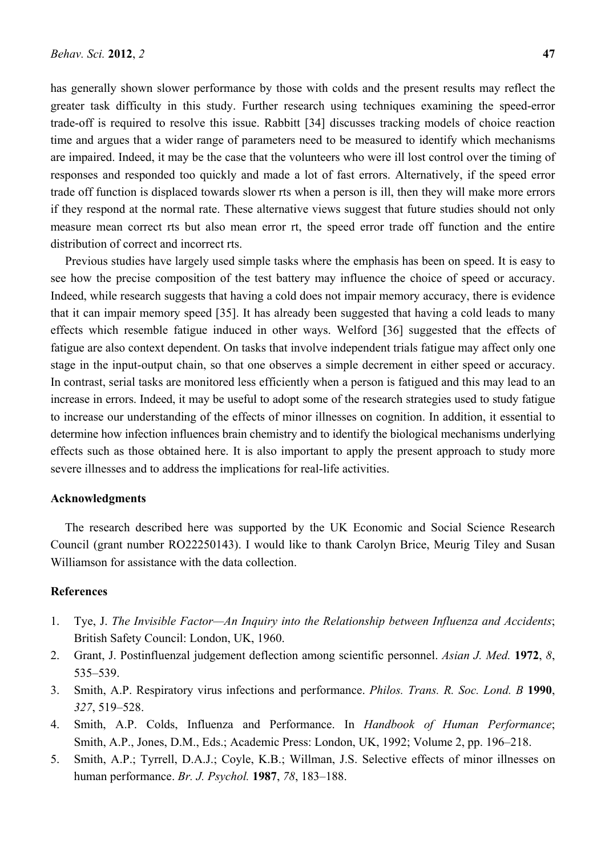has generally shown slower performance by those with colds and the present results may reflect the greater task difficulty in this study. Further research using techniques examining the speed-error trade-off is required to resolve this issue. Rabbitt [34] discusses tracking models of choice reaction time and argues that a wider range of parameters need to be measured to identify which mechanisms are impaired. Indeed, it may be the case that the volunteers who were ill lost control over the timing of responses and responded too quickly and made a lot of fast errors. Alternatively, if the speed error trade off function is displaced towards slower rts when a person is ill, then they will make more errors if they respond at the normal rate. These alternative views suggest that future studies should not only measure mean correct rts but also mean error rt, the speed error trade off function and the entire distribution of correct and incorrect rts.

Previous studies have largely used simple tasks where the emphasis has been on speed. It is easy to see how the precise composition of the test battery may influence the choice of speed or accuracy. Indeed, while research suggests that having a cold does not impair memory accuracy, there is evidence that it can impair memory speed [35]. It has already been suggested that having a cold leads to many effects which resemble fatigue induced in other ways. Welford [36] suggested that the effects of fatigue are also context dependent. On tasks that involve independent trials fatigue may affect only one stage in the input-output chain, so that one observes a simple decrement in either speed or accuracy. In contrast, serial tasks are monitored less efficiently when a person is fatigued and this may lead to an increase in errors. Indeed, it may be useful to adopt some of the research strategies used to study fatigue to increase our understanding of the effects of minor illnesses on cognition. In addition, it essential to determine how infection influences brain chemistry and to identify the biological mechanisms underlying effects such as those obtained here. It is also important to apply the present approach to study more severe illnesses and to address the implications for real-life activities.

# **Acknowledgments**

The research described here was supported by the UK Economic and Social Science Research Council (grant number RO22250143). I would like to thank Carolyn Brice, Meurig Tiley and Susan Williamson for assistance with the data collection.

# **References**

- 1. Tye, J. *The Invisible Factor—An Inquiry into the Relationship between Influenza and Accidents*; British Safety Council: London, UK, 1960.
- 2. Grant, J. Postinfluenzal judgement deflection among scientific personnel. *Asian J. Med.* **1972**, *8*, 535–539.
- 3. Smith, A.P. Respiratory virus infections and performance. *Philos. Trans. R. Soc. Lond. B* **1990**, *327*, 519–528.
- 4. Smith, A.P. Colds, Influenza and Performance. In *Handbook of Human Performance*; Smith, A.P., Jones, D.M., Eds.; Academic Press: London, UK, 1992; Volume 2, pp. 196–218.
- 5. Smith, A.P.; Tyrrell, D.A.J.; Coyle, K.B.; Willman, J.S. Selective effects of minor illnesses on human performance. *Br. J. Psychol.* **1987**, *78*, 183–188.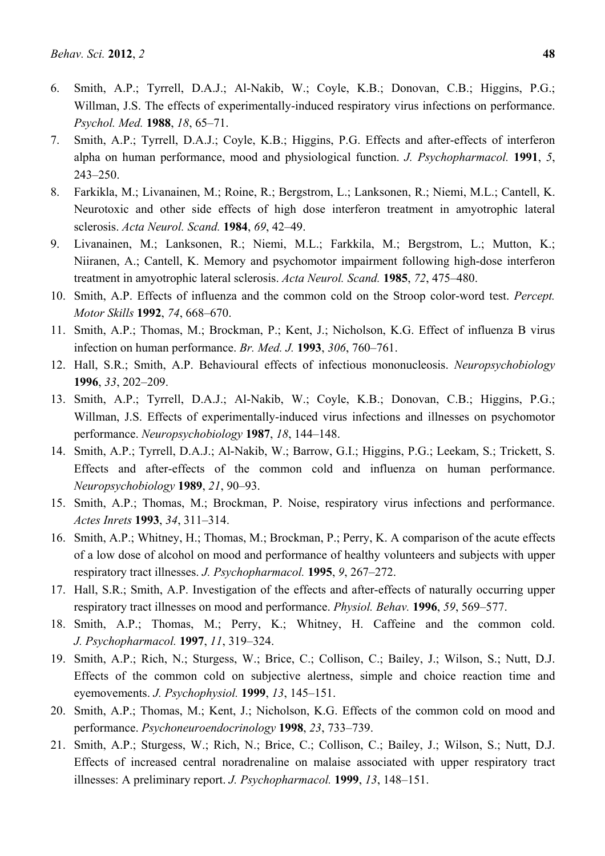- 6. Smith, A.P.; Tyrrell, D.A.J.; Al-Nakib, W.; Coyle, K.B.; Donovan, C.B.; Higgins, P.G.; Willman, J.S. The effects of experimentally-induced respiratory virus infections on performance. *Psychol. Med.* **1988**, *18*, 65–71.
- 7. Smith, A.P.; Tyrrell, D.A.J.; Coyle, K.B.; Higgins, P.G. Effects and after-effects of interferon alpha on human performance, mood and physiological function. *J. Psychopharmacol.* **1991**, *5*, 243–250.
- 8. Farkikla, M.; Livanainen, M.; Roine, R.; Bergstrom, L.; Lanksonen, R.; Niemi, M.L.; Cantell, K. Neurotoxic and other side effects of high dose interferon treatment in amyotrophic lateral sclerosis. *Acta Neurol. Scand.* **1984**, *69*, 42–49.
- 9. Livanainen, M.; Lanksonen, R.; Niemi, M.L.; Farkkila, M.; Bergstrom, L.; Mutton, K.; Niiranen, A.; Cantell, K. Memory and psychomotor impairment following high-dose interferon treatment in amyotrophic lateral sclerosis. *Acta Neurol. Scand.* **1985**, *72*, 475–480.
- 10. Smith, A.P. Effects of influenza and the common cold on the Stroop color-word test. *Percept. Motor Skills* **1992**, *74*, 668–670.
- 11. Smith, A.P.; Thomas, M.; Brockman, P.; Kent, J.; Nicholson, K.G. Effect of influenza B virus infection on human performance. *Br. Med. J.* **1993**, *306*, 760–761.
- 12. Hall, S.R.; Smith, A.P. Behavioural effects of infectious mononucleosis. *Neuropsychobiology* **1996**, *33*, 202–209.
- 13. Smith, A.P.; Tyrrell, D.A.J.; Al-Nakib, W.; Coyle, K.B.; Donovan, C.B.; Higgins, P.G.; Willman, J.S. Effects of experimentally-induced virus infections and illnesses on psychomotor performance. *Neuropsychobiology* **1987**, *18*, 144–148.
- 14. Smith, A.P.; Tyrrell, D.A.J.; Al-Nakib, W.; Barrow, G.I.; Higgins, P.G.; Leekam, S.; Trickett, S. Effects and after-effects of the common cold and influenza on human performance. *Neuropsychobiology* **1989**, *21*, 90–93.
- 15. Smith, A.P.; Thomas, M.; Brockman, P. Noise, respiratory virus infections and performance. *Actes Inrets* **1993**, *34*, 311–314.
- 16. Smith, A.P.; Whitney, H.; Thomas, M.; Brockman, P.; Perry, K. A comparison of the acute effects of a low dose of alcohol on mood and performance of healthy volunteers and subjects with upper respiratory tract illnesses. *J. Psychopharmacol.* **1995**, *9*, 267–272.
- 17. Hall, S.R.; Smith, A.P. Investigation of the effects and after-effects of naturally occurring upper respiratory tract illnesses on mood and performance. *Physiol. Behav.* **1996**, *59*, 569–577.
- 18. Smith, A.P.; Thomas, M.; Perry, K.; Whitney, H. Caffeine and the common cold. *J. Psychopharmacol.* **1997**, *11*, 319–324.
- 19. Smith, A.P.; Rich, N.; Sturgess, W.; Brice, C.; Collison, C.; Bailey, J.; Wilson, S.; Nutt, D.J. Effects of the common cold on subjective alertness, simple and choice reaction time and eyemovements. *J. Psychophysiol.* **1999**, *13*, 145–151.
- 20. Smith, A.P.; Thomas, M.; Kent, J.; Nicholson, K.G. Effects of the common cold on mood and performance. *Psychoneuroendocrinology* **1998**, *23*, 733–739.
- 21. Smith, A.P.; Sturgess, W.; Rich, N.; Brice, C.; Collison, C.; Bailey, J.; Wilson, S.; Nutt, D.J. Effects of increased central noradrenaline on malaise associated with upper respiratory tract illnesses: A preliminary report. *J. Psychopharmacol.* **1999**, *13*, 148–151.